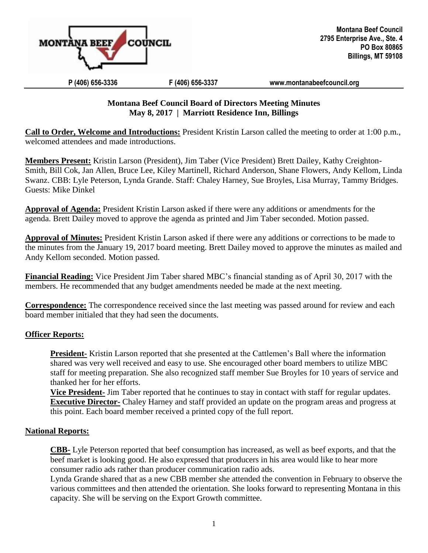

#### **P (406) 656-3336 F (406) 656-3337 [www.montanabeefcouncil.org](http://www.montanabeefcouncil.org/)**

# **Montana Beef Council Board of Directors Meeting Minutes May 8, 2017 | Marriott Residence Inn, Billings**

**Call to Order, Welcome and Introductions:** President Kristin Larson called the meeting to order at 1:00 p.m., welcomed attendees and made introductions.

**Members Present:** Kristin Larson (President), Jim Taber (Vice President) Brett Dailey, Kathy Creighton-Smith, Bill Cok, Jan Allen, Bruce Lee, Kiley Martinell, Richard Anderson, Shane Flowers, Andy Kellom, Linda Swanz. CBB: Lyle Peterson, Lynda Grande. Staff: Chaley Harney, Sue Broyles, Lisa Murray, Tammy Bridges. Guests: Mike Dinkel

**Approval of Agenda:** President Kristin Larson asked if there were any additions or amendments for the agenda. Brett Dailey moved to approve the agenda as printed and Jim Taber seconded. Motion passed.

**Approval of Minutes:** President Kristin Larson asked if there were any additions or corrections to be made to the minutes from the January 19, 2017 board meeting. Brett Dailey moved to approve the minutes as mailed and Andy Kellom seconded. Motion passed.

**Financial Reading:** Vice President Jim Taber shared MBC's financial standing as of April 30, 2017 with the members. He recommended that any budget amendments needed be made at the next meeting.

**Correspondence:** The correspondence received since the last meeting was passed around for review and each board member initialed that they had seen the documents.

# **Officer Reports:**

**President-** Kristin Larson reported that she presented at the Cattlemen's Ball where the information shared was very well received and easy to use. She encouraged other board members to utilize MBC staff for meeting preparation. She also recognized staff member Sue Broyles for 10 years of service and thanked her for her efforts.

**Vice President-** Jim Taber reported that he continues to stay in contact with staff for regular updates. **Executive Director-** Chaley Harney and staff provided an update on the program areas and progress at this point. Each board member received a printed copy of the full report.

# **National Reports:**

**CBB-** Lyle Peterson reported that beef consumption has increased, as well as beef exports, and that the beef market is looking good. He also expressed that producers in his area would like to hear more consumer radio ads rather than producer communication radio ads.

Lynda Grande shared that as a new CBB member she attended the convention in February to observe the various committees and then attended the orientation. She looks forward to representing Montana in this capacity. She will be serving on the Export Growth committee.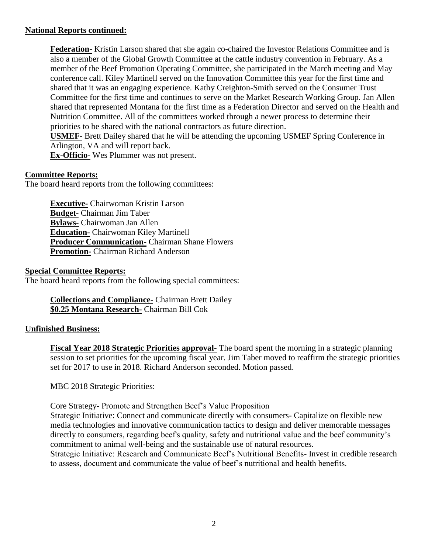## **National Reports continued:**

**Federation-** Kristin Larson shared that she again co-chaired the Investor Relations Committee and is also a member of the Global Growth Committee at the cattle industry convention in February. As a member of the Beef Promotion Operating Committee, she participated in the March meeting and May conference call. Kiley Martinell served on the Innovation Committee this year for the first time and shared that it was an engaging experience. Kathy Creighton-Smith served on the Consumer Trust Committee for the first time and continues to serve on the Market Research Working Group. Jan Allen shared that represented Montana for the first time as a Federation Director and served on the Health and Nutrition Committee. All of the committees worked through a newer process to determine their priorities to be shared with the national contractors as future direction. **USMEF-** Brett Dailey shared that he will be attending the upcoming USMEF Spring Conference in Arlington, VA and will report back.

**Ex-Officio-** Wes Plummer was not present.

### **Committee Reports:**

The board heard reports from the following committees:

**Executive-** Chairwoman Kristin Larson **Budget-** Chairman Jim Taber **Bylaws-** Chairwoman Jan Allen **Education-** Chairwoman Kiley Martinell **Producer Communication-** Chairman Shane Flowers **Promotion-** Chairman Richard Anderson

#### **Special Committee Reports:**

The board heard reports from the following special committees:

**Collections and Compliance-** Chairman Brett Dailey **\$0.25 Montana Research-** Chairman Bill Cok

#### **Unfinished Business:**

**Fiscal Year 2018 Strategic Priorities approval-** The board spent the morning in a strategic planning session to set priorities for the upcoming fiscal year. Jim Taber moved to reaffirm the strategic priorities set for 2017 to use in 2018. Richard Anderson seconded. Motion passed.

MBC 2018 Strategic Priorities:

Core Strategy- Promote and Strengthen Beef's Value Proposition

Strategic Initiative: Connect and communicate directly with consumers- Capitalize on flexible new media technologies and innovative communication tactics to design and deliver memorable messages directly to consumers, regarding beef's quality, safety and nutritional value and the beef community's commitment to animal well-being and the sustainable use of natural resources.

Strategic Initiative: Research and Communicate Beef's Nutritional Benefits- Invest in credible research to assess, document and communicate the value of beef's nutritional and health benefits.